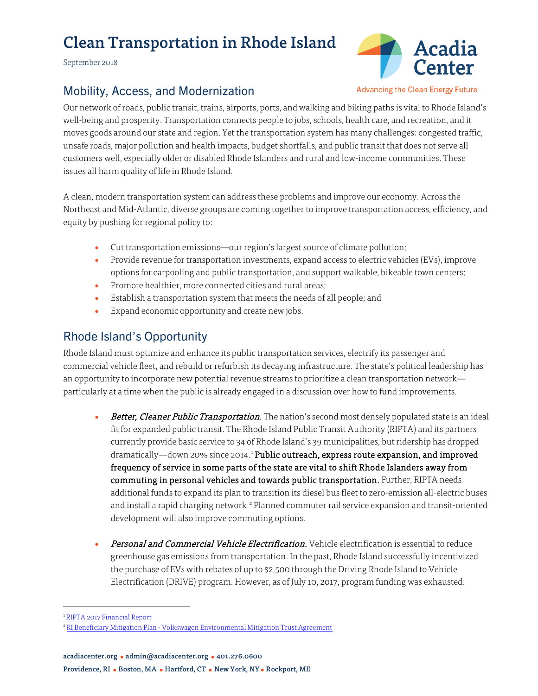# Clean Transportation in Rhode Island

September 2018



### Mobility, Access, and Modernization

**Advancing the Clean Energy Future** 

Our network of roads, public transit, trains, airports, ports, and walking and biking paths is vital to Rhode Island's well-being and prosperity. Transportation connects people to jobs, schools, health care, and recreation, and it moves goods around our state and region. Yet the transportation system has many challenges: congested traffic, unsafe roads, major pollution and health impacts, budget shortfalls, and public transit that does not serve all customers well, especially older or disabled Rhode Islanders and rural and low-income communities. These issues all harm quality of life in Rhode Island.

A clean, modern transportation system can address these problems and improve our economy. Across the Northeast and Mid-Atlantic, diverse groups are coming together to improve transportation access, efficiency, and equity by pushing for regional policy to:

- Cut transportation emissions—our region's largest source of climate pollution;
- Provide revenue for transportation investments, expand access to electric vehicles (EVs), improve options for carpooling and public transportation, and support walkable, bikeable town centers;
- Promote healthier, more connected cities and rural areas;
- Establish a transportation system that meets the needs of all people; and
- Expand economic opportunity and create new jobs.

## Rhode Island's Opportunity

Rhode Island must optimize and enhance its public transportation services, electrify its passenger and commercial vehicle fleet, and rebuild or refurbish its decaying infrastructure. The state's political leadership has an opportunity to incorporate new potential revenue streams to prioritize a clean transportation network particularly at a time when the public is already engaged in a discussion over how to fund improvements.

- Better, Cleaner Public Transportation. The nation's second most densely populated state is an ideal fit for expanded public transit. The Rhode Island Public Transit Authority (RIPTA) and its partners currently provide basic service to 34 of Rhode Island's 39 municipalities, but ridership has dropped dramatically—down 20% since 20[1](#page-0-0)4.<sup>1</sup> Public outreach, express route expansion, and improved frequency of service in some parts of the state are vital to shift Rhode Islanders away from commuting in personal vehicles and towards public transportation. Further, RIPTA needs additional funds to expand its plan to transition its diesel bus fleet to zero-emission all-electric buses and install a rapid charging network. [2](#page-0-1) Planned commuter rail service expansion and transit-oriented development will also improve commuting options.
- Personal and Commercial Vehicle Electrification. Vehicle electrification is essential to reduce greenhouse gas emissions from transportation. In the past, Rhode Island successfully incentivized the purchase of EVs with rebates of up to \$2,500 through the Driving Rhode Island to Vehicle Electrification (DRIVE) program. However, as of July 10, 2017, program funding was exhausted.

acadiacenter.org ● admin@acadiacenter.org ● 401.276.0600

 <sup>1</sup> [RIPTA 2017 Financial Report](https://www.ripta.com/stuff/contentmgr/files/0/c3bdcda1787206762665149a63cc42cc/files/ripta_caf_report_2017_final.pdf)

<span id="page-0-1"></span><span id="page-0-0"></span><sup>&</sup>lt;sup>2</sup> RI Beneficiary Mitigation Plan - [Volkswagen Environmental Mitigation Trust Agreement](http://www.dem.ri.gov/programs/air/documents/vwmitplanf.pdf)